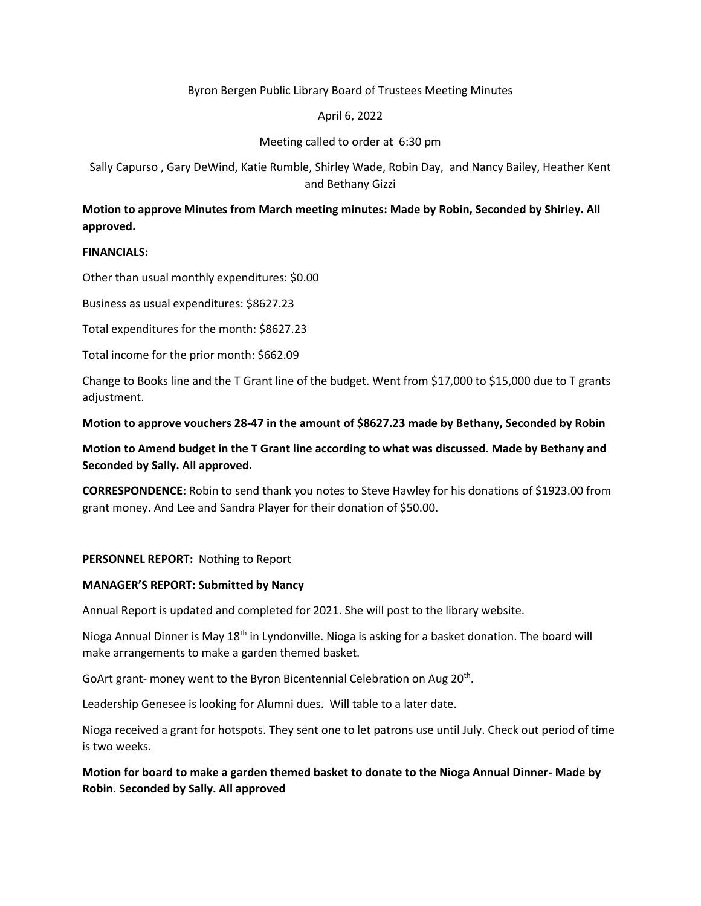## Byron Bergen Public Library Board of Trustees Meeting Minutes

## April 6, 2022

## Meeting called to order at 6:30 pm

Sally Capurso , Gary DeWind, Katie Rumble, Shirley Wade, Robin Day, and Nancy Bailey, Heather Kent and Bethany Gizzi

# **Motion to approve Minutes from March meeting minutes: Made by Robin, Seconded by Shirley. All approved.**

### **FINANCIALS:**

Other than usual monthly expenditures: \$0.00

Business as usual expenditures: \$8627.23

Total expenditures for the month: \$8627.23

Total income for the prior month: \$662.09

Change to Books line and the T Grant line of the budget. Went from \$17,000 to \$15,000 due to T grants adjustment.

**Motion to approve vouchers 28-47 in the amount of \$8627.23 made by Bethany, Seconded by Robin** 

**Motion to Amend budget in the T Grant line according to what was discussed. Made by Bethany and Seconded by Sally. All approved.** 

**CORRESPONDENCE:** Robin to send thank you notes to Steve Hawley for his donations of \$1923.00 from grant money. And Lee and Sandra Player for their donation of \$50.00.

### **PERSONNEL REPORT:** Nothing to Report

#### **MANAGER'S REPORT: Submitted by Nancy**

Annual Report is updated and completed for 2021. She will post to the library website.

Nioga Annual Dinner is May 18<sup>th</sup> in Lyndonville. Nioga is asking for a basket donation. The board will make arrangements to make a garden themed basket.

GoArt grant- money went to the Byron Bicentennial Celebration on Aug 20<sup>th</sup>.

Leadership Genesee is looking for Alumni dues. Will table to a later date.

Nioga received a grant for hotspots. They sent one to let patrons use until July. Check out period of time is two weeks.

**Motion for board to make a garden themed basket to donate to the Nioga Annual Dinner- Made by Robin. Seconded by Sally. All approved**